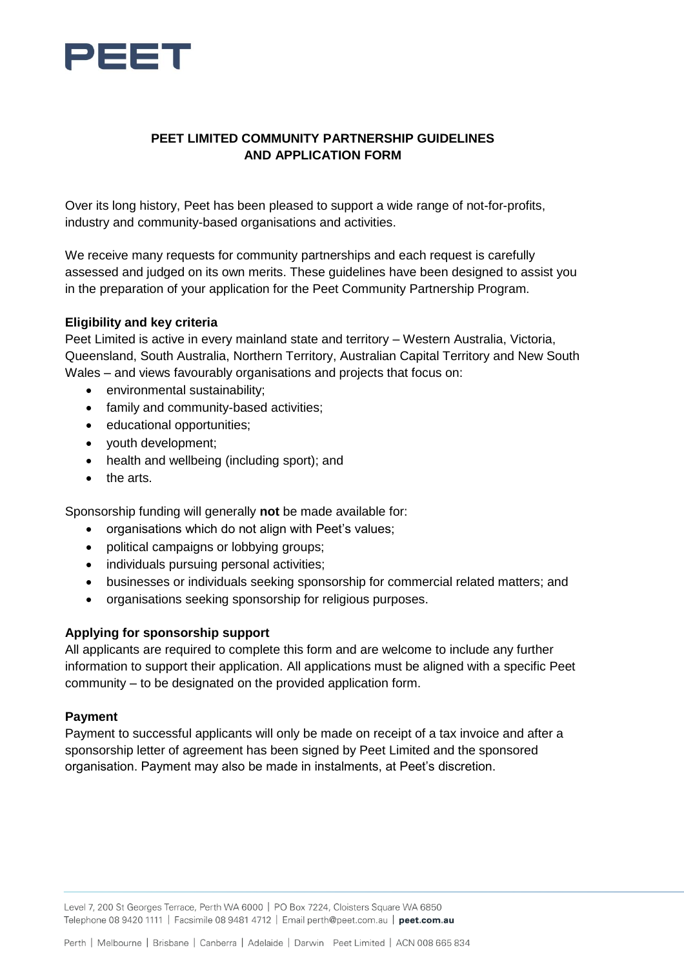

# **PEET LIMITED COMMUNITY PARTNERSHIP GUIDELINES AND APPLICATION FORM**

Over its long history, Peet has been pleased to support a wide range of not-for-profits, industry and community-based organisations and activities.

We receive many requests for community partnerships and each request is carefully assessed and judged on its own merits. These guidelines have been designed to assist you in the preparation of your application for the Peet Community Partnership Program.

#### **Eligibility and key criteria**

Peet Limited is active in every mainland state and territory – Western Australia, Victoria, Queensland, South Australia, Northern Territory, Australian Capital Territory and New South Wales – and views favourably organisations and projects that focus on:

- environmental sustainability;
- family and community-based activities;
- educational opportunities;
- youth development;
- health and wellbeing (including sport); and
- the arts.

Sponsorship funding will generally **not** be made available for:

- organisations which do not align with Peet's values;
- political campaigns or lobbying groups;
- individuals pursuing personal activities;
- businesses or individuals seeking sponsorship for commercial related matters; and
- organisations seeking sponsorship for religious purposes.

#### **Applying for sponsorship support**

All applicants are required to complete this form and are welcome to include any further information to support their application. All applications must be aligned with a specific Peet community – to be designated on the provided application form.

#### **Payment**

Payment to successful applicants will only be made on receipt of a tax invoice and after a sponsorship letter of agreement has been signed by Peet Limited and the sponsored organisation. Payment may also be made in instalments, at Peet's discretion.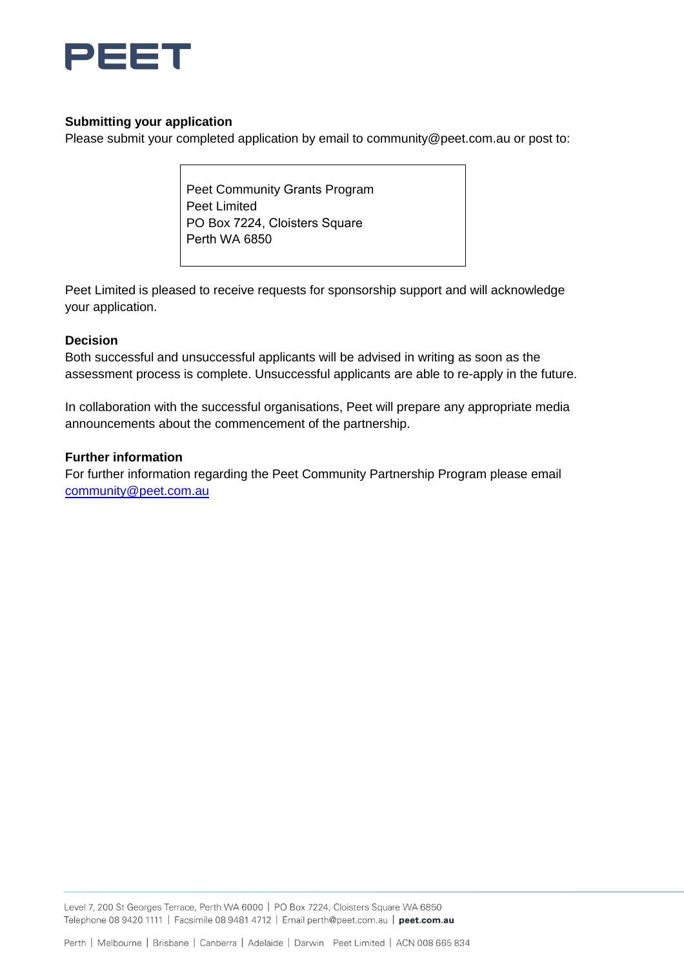

# **Submitting your application**

Please submit your completed application by email to [community@peet.com.au](mailto:community@peet.com.au) or post to:

Peet Community Grants Program Peet Limited PO Box 7224, Cloisters Square Perth WA 6850

Peet Limited is pleased to receive requests for sponsorship support and will acknowledge your application.

## **Decision**

Both successful and unsuccessful applicants will be advised in writing as soon as the assessment process is complete. Unsuccessful applicants are able to re-apply in the future.

In collaboration with the successful organisations, Peet will prepare any appropriate media announcements about the commencement of the partnership.

## **Further information**

For further information regarding the Peet Community Partnership Program please email community@peet.com[.au](mailto:community@peet.com.au)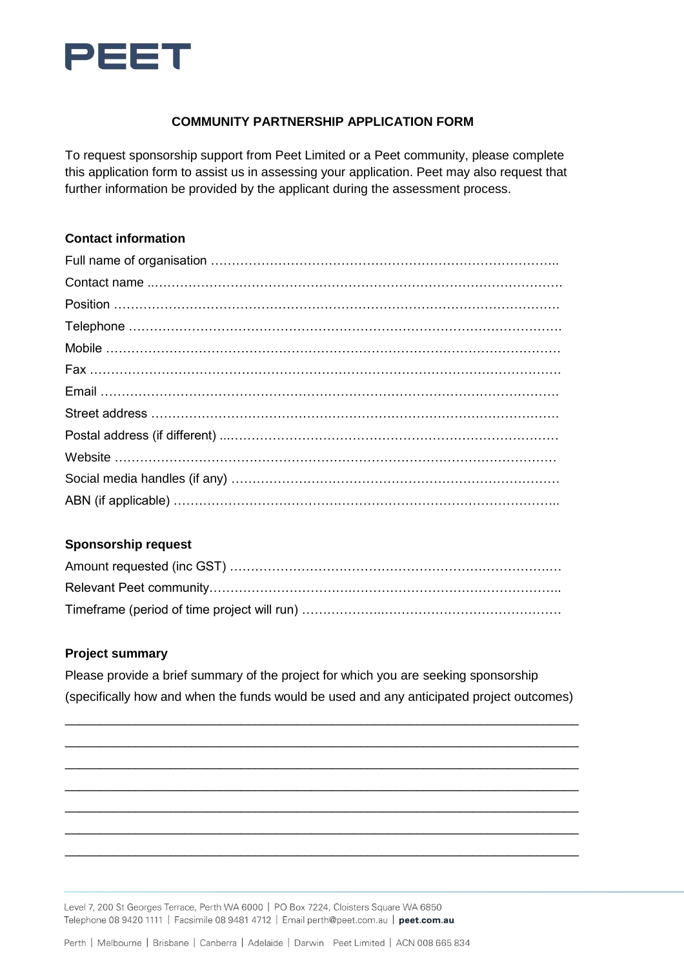

# **COMMUNITY PARTNERSHIP APPLICATION FORM**

To request sponsorship support from Peet Limited or a Peet community, please complete this application form to assist us in assessing your application. Peet may also request that further information be provided by the applicant during the assessment process.

## **Contact information**

## **Sponsorship request**

## **Project summary**

Please provide a brief summary of the project for which you are seeking sponsorship (specifically how and when the funds would be used and any anticipated project outcomes)

\_\_\_\_\_\_\_\_\_\_\_\_\_\_\_\_\_\_\_\_\_\_\_\_\_\_\_\_\_\_\_\_\_\_\_\_\_\_\_\_\_\_\_\_\_\_\_\_\_\_\_\_\_\_\_\_\_\_\_\_\_\_\_\_\_\_\_\_\_\_\_\_\_ \_\_\_\_\_\_\_\_\_\_\_\_\_\_\_\_\_\_\_\_\_\_\_\_\_\_\_\_\_\_\_\_\_\_\_\_\_\_\_\_\_\_\_\_\_\_\_\_\_\_\_\_\_\_\_\_\_\_\_\_\_\_\_\_\_\_\_\_\_\_\_\_\_ \_\_\_\_\_\_\_\_\_\_\_\_\_\_\_\_\_\_\_\_\_\_\_\_\_\_\_\_\_\_\_\_\_\_\_\_\_\_\_\_\_\_\_\_\_\_\_\_\_\_\_\_\_\_\_\_\_\_\_\_\_\_\_\_\_\_\_\_\_\_\_\_\_ \_\_\_\_\_\_\_\_\_\_\_\_\_\_\_\_\_\_\_\_\_\_\_\_\_\_\_\_\_\_\_\_\_\_\_\_\_\_\_\_\_\_\_\_\_\_\_\_\_\_\_\_\_\_\_\_\_\_\_\_\_\_\_\_\_\_\_\_\_\_\_\_\_ \_\_\_\_\_\_\_\_\_\_\_\_\_\_\_\_\_\_\_\_\_\_\_\_\_\_\_\_\_\_\_\_\_\_\_\_\_\_\_\_\_\_\_\_\_\_\_\_\_\_\_\_\_\_\_\_\_\_\_\_\_\_\_\_\_\_\_\_\_\_\_\_\_ \_\_\_\_\_\_\_\_\_\_\_\_\_\_\_\_\_\_\_\_\_\_\_\_\_\_\_\_\_\_\_\_\_\_\_\_\_\_\_\_\_\_\_\_\_\_\_\_\_\_\_\_\_\_\_\_\_\_\_\_\_\_\_\_\_\_\_\_\_\_\_\_\_ \_\_\_\_\_\_\_\_\_\_\_\_\_\_\_\_\_\_\_\_\_\_\_\_\_\_\_\_\_\_\_\_\_\_\_\_\_\_\_\_\_\_\_\_\_\_\_\_\_\_\_\_\_\_\_\_\_\_\_\_\_\_\_\_\_\_\_\_\_\_\_\_\_

Level 7, 200 St Georges Terrace, Perth WA 6000 | PO Box 7224, Cloisters Square WA 6850 Telephone 08 9420 1111 | Facsimile 08 9481 4712 | Email perth@peet.com.au | peet.com.au

Perth | Melbourne | Brisbane | Canberra | Adelaide | Darwin Peet Limited | ACN 008 665 834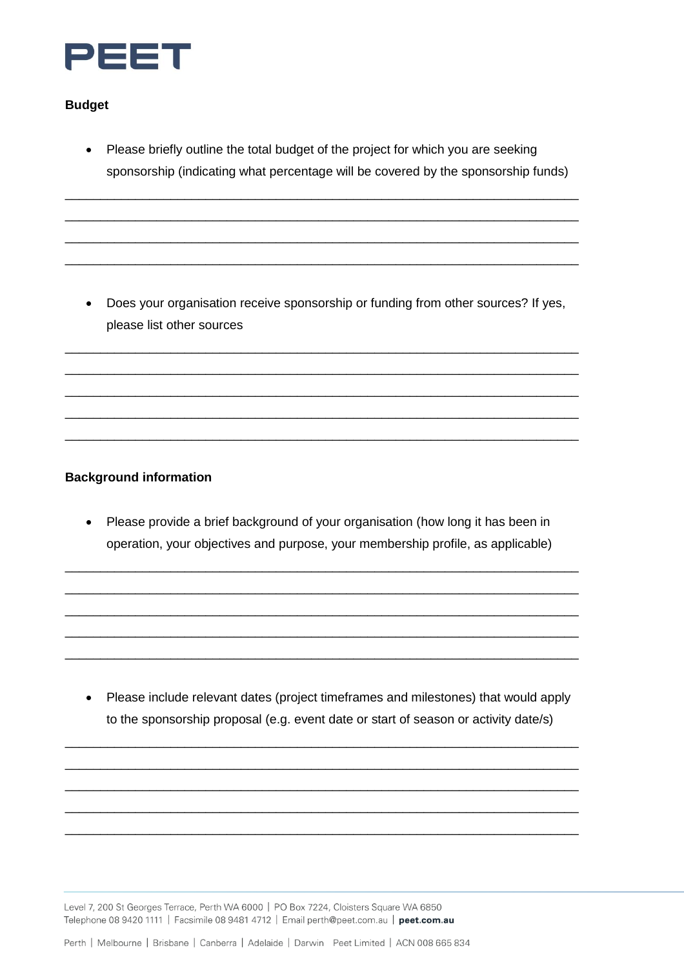

## **Budget**

Please briefly outline the total budget of the project for which you are seeking  $\bullet$ sponsorship (indicating what percentage will be covered by the sponsorship funds)

• Does your organisation receive sponsorship or funding from other sources? If yes, please list other sources

# **Background information**

• Please provide a brief background of your organisation (how long it has been in operation, your objectives and purpose, your membership profile, as applicable)

• Please include relevant dates (project timeframes and milestones) that would apply to the sponsorship proposal (e.g. event date or start of season or activity date/s)